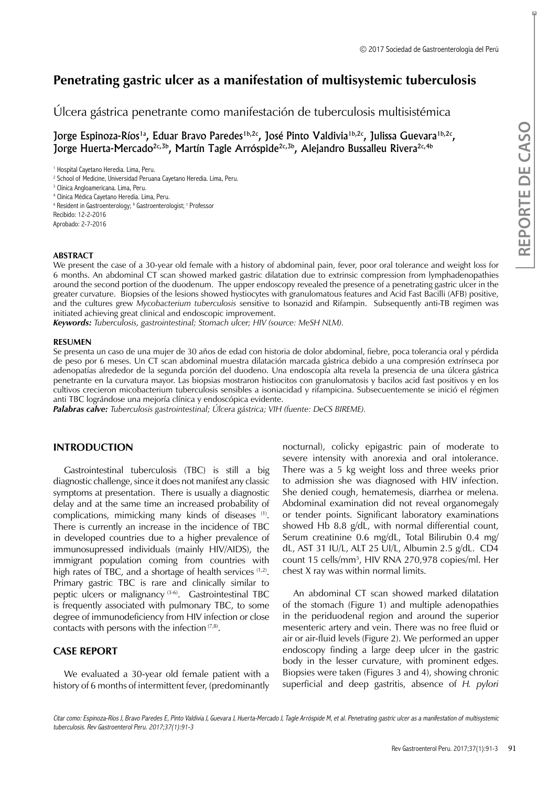# **Penetrating gastric ulcer as a manifestation of multisystemic tuberculosis**

Úlcera gástrica penetrante como manifestación de tuberculosis multisistémica

Jorge Espinoza-Ríos<sup>1a</sup>, Eduar Bravo Paredes<sup>1b,2c</sup>, José Pinto Valdivia<sup>1b,2c</sup>, Julissa Guevara<sup>1b,2c</sup>, Jorge Huerta-Mercado<sup>2c,3b</sup>, Martín Tagle Arróspide<sup>2c,3b</sup>, Alejandro Bussalleu Rivera<sup>2c,4b</sup>

1 Hospital Cayetano Heredia. Lima, Peru.

2 School of Medicine, Universidad Peruana Cayetano Heredia. Lima, Peru.

3 Clínica Angloamericana. Lima, Peru.

4 Clínica Médica Cayetano Heredia. Lima, Peru.

<sup>a</sup> Resident in Gastroenterology; <sup>b</sup> Gastroenterologist; <sup>c</sup> Professor

Recibido: 12-2-2016

Aprobado: 2-7-2016

### **ABSTRACT**

We present the case of a 30-year old female with a history of abdominal pain, fever, poor oral tolerance and weight loss for 6 months. An abdominal CT scan showed marked gastric dilatation due to extrinsic compression from lymphadenopathies around the second portion of the duodenum. The upper endoscopy revealed the presence of a penetrating gastric ulcer in the greater curvature. Biopsies of the lesions showed hystiocytes with granulomatous features and Acid Fast Bacilli (AFB) positive, and the cultures grew *Mycobacterium tuberculosis* sensitive to Isonazid and Rifampin. Subsequently anti-TB regimen was initiated achieving great clinical and endoscopic improvement.

*Keywords: Tuberculosis, gastrointestinal; Stomach ulcer; HIV (source: MeSH NLM).*

### **RESUMEN**

Se presenta un caso de una mujer de 30 años de edad con historia de dolor abdominal, fiebre, poca tolerancia oral y pérdida de peso por 6 meses. Un CT scan abdominal muestra dilatación marcada gástrica debido a una compresión extrínseca por adenopatías alrededor de la segunda porción del duodeno. Una endoscopía alta revela la presencia de una úlcera gástrica penetrante en la curvatura mayor. Las biopsias mostraron histiocitos con granulomatosis y bacilos acid fast positivos y en los cultivos crecieron micobacterium tuberculosis sensibles a isoniacidad y rifampicina. Subsecuentemente se inició el régimen anti TBC lográndose una mejoría clínica y endoscópica evidente.

*Palabras calve: Tuberculosis gastrointestinal; Úlcera gástrica; VIH (fuente: DeCS BIREME).*

### **INTRODUCTION**

Gastrointestinal tuberculosis (TBC) is still a big diagnostic challenge, since it does not manifest any classic symptoms at presentation. There is usually a diagnostic delay and at the same time an increased probability of complications, mimicking many kinds of diseases (1). There is currently an increase in the incidence of TBC in developed countries due to a higher prevalence of immunosupressed individuals (mainly HIV/AIDS), the immigrant population coming from countries with high rates of TBC, and a shortage of health services (1,2). Primary gastric TBC is rare and clinically similar to peptic ulcers or malignancy  $(3-6)$ . Gastrointestinal TBC is frequently associated with pulmonary TBC, to some degree of immunodeficiency from HIV infection or close contacts with persons with the infection  $(7,8)$ .

# **CASE REPORT**

We evaluated a 30-year old female patient with a history of 6 months of intermittent fever, (predominantly nocturnal), colicky epigastric pain of moderate to severe intensity with anorexia and oral intolerance. There was a 5 kg weight loss and three weeks prior to admission she was diagnosed with HIV infection. She denied cough, hematemesis, diarrhea or melena. Abdominal examination did not reveal organomegaly or tender points. Significant laboratory examinations showed Hb 8.8 g/dL, with normal differential count, Serum creatinine 0.6 mg/dL, Total Bilirubin 0.4 mg/ dL, AST 31 IU/L, ALT 25 UI/L, Albumin 2.5 g/dL. CD4 count 15 cells/mm3 , HIV RNA 270,978 copies/ml. Her chest X ray was within normal limits.

An abdominal CT scan showed marked dilatation of the stomach (Figure 1) and multiple adenopathies in the periduodenal region and around the superior mesenteric artery and vein. There was no free fluid or air or air-fluid levels (Figure 2). We performed an upper endoscopy finding a large deep ulcer in the gastric body in the lesser curvature, with prominent edges. Biopsies were taken (Figures 3 and 4), showing chronic superficial and deep gastritis, absence of *H. pylori* 

Citar como: Espinoza-Ríos J, Bravo Paredes E, Pinto Valdivia J, Guevara J, Huerta-Mercado J, Tagle Arróspide M, et al. Penetrating gastric ulcer as a manifestation of multisystemic tuberculosis. Rev Gastroenterol Peru. 2017;37(1):91-3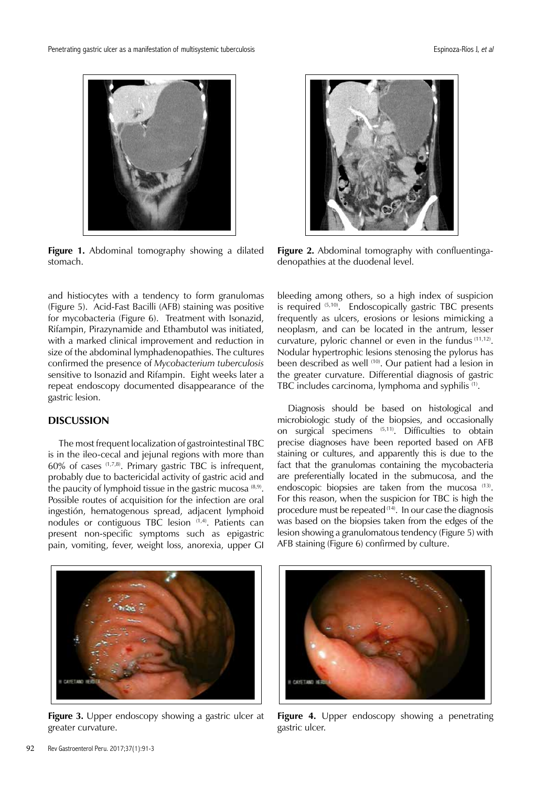

**Figure 1.** Abdominal tomography showing a dilated stomach.

and histiocytes with a tendency to form granulomas (Figure 5). Acid-Fast Bacilli (AFB) staining was positive for mycobacteria (Figure 6). Treatment with Isonazid, Rifampin, Pirazynamide and Ethambutol was initiated, with a marked clinical improvement and reduction in size of the abdominal lymphadenopathies. The cultures confirmed the presence of *Mycobacterium tuberculosis*  sensitive to Isonazid and Rifampin. Eight weeks later a repeat endoscopy documented disappearance of the gastric lesion.

# **DISCUSSION**

The most frequent localization of gastrointestinal TBC is in the ileo-cecal and jejunal regions with more than 60% of cases  $(1,7,8)$ . Primary gastric TBC is infrequent, probably due to bactericidal activity of gastric acid and the paucity of lymphoid tissue in the gastric mucosa  $(8,9)$ . Possible routes of acquisition for the infection are oral ingestión, hematogenous spread, adjacent lymphoid nodules or contiguous TBC lesion (1,4). Patients can present non-specific symptoms such as epigastric pain, vomiting, fever, weight loss, anorexia, upper GI



**Figure 2.** Abdominal tomography with confluentingadenopathies at the duodenal level.

bleeding among others, so a high index of suspicion is required (5,10). Endoscopically gastric TBC presents frequently as ulcers, erosions or lesions mimicking a neoplasm, and can be located in the antrum, lesser curvature, pyloric channel or even in the fundus (11,12). Nodular hypertrophic lesions stenosing the pylorus has been described as well <sup>(10)</sup>. Our patient had a lesion in the greater curvature. Differential diagnosis of gastric TBC includes carcinoma, lymphoma and syphilis (1).

Diagnosis should be based on histological and microbiologic study of the biopsies, and occasionally on surgical specimens (5,11). Difficulties to obtain precise diagnoses have been reported based on AFB staining or cultures, and apparently this is due to the fact that the granulomas containing the mycobacteria are preferentially located in the submucosa, and the endoscopic biopsies are taken from the mucosa (13). For this reason, when the suspicion for TBC is high the procedure must be repeated<sup>(14)</sup>. In our case the diagnosis was based on the biopsies taken from the edges of the lesion showing a granulomatous tendency (Figure 5) with AFB staining (Figure 6) confirmed by culture.



**Figure 3.** Upper endoscopy showing a gastric ulcer at greater curvature.



**Figure 4.** Upper endoscopy showing a penetrating gastric ulcer.